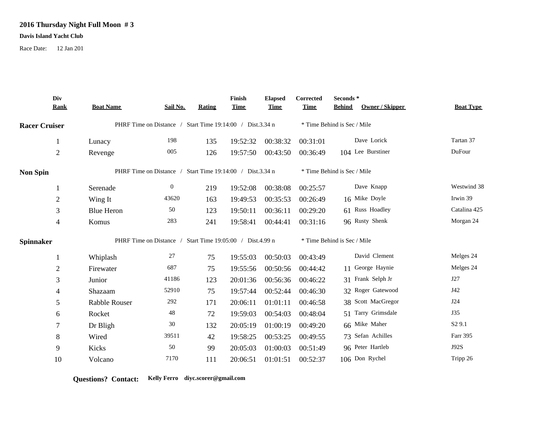## **2016 Thursday Night Full Moon # 3**

## **Davis Island Yacht Club**

Race Date: 12 Jan 201

|                      | Div<br><b>Rank</b> | <b>Boat Name</b>                                          | Sail No.       | Rating | Finish<br><b>Time</b> | <b>Elapsed</b><br><b>Time</b> | Corrected<br><b>Time</b>    | Seconds*<br>Owner / Skipper<br><b>Behind</b> | <b>Boat Type</b>   |
|----------------------|--------------------|-----------------------------------------------------------|----------------|--------|-----------------------|-------------------------------|-----------------------------|----------------------------------------------|--------------------|
| <b>Racer Cruiser</b> |                    | PHRF Time on Distance / Start Time 19:14:00 / Dist.3.34 n |                |        |                       |                               | * Time Behind is Sec / Mile |                                              |                    |
|                      |                    | Lunacy                                                    | 198            | 135    | 19:52:32              | 00:38:32                      | 00:31:01                    | Dave Lorick                                  | Tartan 37          |
|                      | $\overline{2}$     | Revenge                                                   | 005            | 126    | 19:57:50              | 00:43:50                      | 00:36:49                    | 104 Lee Burstiner                            | DuFour             |
| <b>Non Spin</b>      |                    | PHRF Time on Distance / Start Time 19:14:00 / Dist.3.34 n |                |        |                       |                               | * Time Behind is Sec / Mile |                                              |                    |
|                      | -1                 | Serenade                                                  | $\overline{0}$ | 219    | 19:52:08              | 00:38:08                      | 00:25:57                    | Dave Knapp                                   | Westwind 38        |
|                      | $\overline{2}$     | Wing It                                                   | 43620          | 163    | 19:49:53              | 00:35:53                      | 00:26:49                    | 16 Mike Doyle                                | Irwin 39           |
|                      | 3                  | <b>Blue Heron</b>                                         | 50             | 123    | 19:50:11              | 00:36:11                      | 00:29:20                    | 61 Russ Hoadley                              | Catalina 425       |
|                      | 4                  | Komus                                                     | 283            | 241    | 19:58:41              | 00:44:41                      | 00:31:16                    | 96 Rusty Shenk                               | Morgan 24          |
| <b>Spinnaker</b>     |                    | PHRF Time on Distance / Start Time 19:05:00 / Dist.4.99 n |                |        |                       |                               | * Time Behind is Sec / Mile |                                              |                    |
|                      | 1                  | Whiplash                                                  | 27             | 75     | 19:55:03              | 00:50:03                      | 00:43:49                    | David Clement                                | Melges 24          |
|                      | $\overline{2}$     | Firewater                                                 | 687            | 75     | 19:55:56              | 00:50:56                      | 00:44:42                    | 11 George Haynie                             | Melges 24          |
|                      | 3                  | Junior                                                    | 41186          | 123    | 20:01:36              | 00:56:36                      | 00:46:22                    | 31 Frank Selph Jr                            | J27                |
|                      | 4                  | Shazaam                                                   | 52910          | 75     | 19:57:44              | 00:52:44                      | 00:46:30                    | 32 Roger Gatewood                            | J42                |
|                      | 5                  | Rabble Rouser                                             | 292            | 171    | 20:06:11              | 01:01:11                      | 00:46:58                    | 38 Scott MacGregor                           | J24                |
|                      | 6                  | Rocket                                                    | 48             | 72     | 19:59:03              | 00:54:03                      | 00:48:04                    | 51 Tarry Grimsdale                           | <b>J35</b>         |
|                      | 7                  | Dr Bligh                                                  | 30             | 132    | 20:05:19              | 01:00:19                      | 00:49:20                    | 66 Mike Maher                                | S <sub>2</sub> 9.1 |
|                      | 8                  | Wired                                                     | 39511          | 42     | 19:58:25              | 00:53:25                      | 00:49:55                    | 73 Sefan Achilles                            | Farr 395           |
|                      | 9                  | Kicks                                                     | 50             | 99     | 20:05:03              | 01:00:03                      | 00:51:49                    | 96 Peter Hartleb                             | J92S               |
|                      | 10                 | Volcano                                                   | 7170           | 111    | 20:06:51              | 01:01:51                      | 00:52:37                    | 106 Don Rychel                               | Tripp 26           |

**Questions? Contact: Kelly Ferro diyc.scorer@gmail.com**